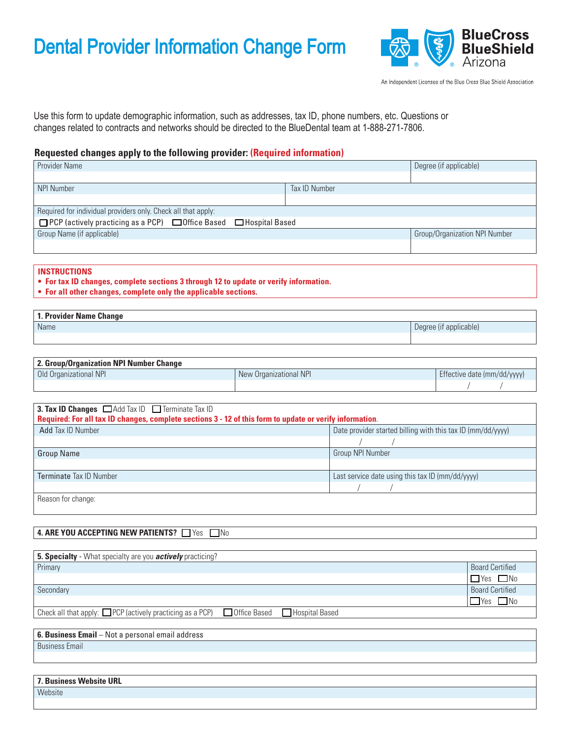# Dental Provider Information Change Form



An Independent Licensee of the Blue Cross Blue Shield Association

Use this form to update demographic information, such as addresses, tax ID, phone numbers, etc. Questions or changes related to contracts and networks should be directed to the BlueDental team at 1-888-271-7806.

## **Requested changes apply to the following provider: (Required information)**

| <b>Provider Name</b>                                                                |               | Degree (if applicable)        |
|-------------------------------------------------------------------------------------|---------------|-------------------------------|
|                                                                                     |               |                               |
| <b>NPI Number</b>                                                                   | Tax ID Number |                               |
|                                                                                     |               |                               |
| Required for individual providers only. Check all that apply:                       |               |                               |
| $\Box$ PCP (actively practicing as a PCP) $\Box$ Office Based $\Box$ Hospital Based |               |                               |
| Group Name (if applicable)                                                          |               | Group/Organization NPI Number |
|                                                                                     |               |                               |

#### **INSTRUCTIONS**

**• For tax ID changes, complete sections 3 through 12 to update or verify information.**

**• For all other changes, complete only the applicable sections.**

| <sup>1</sup> 1. Provider Name Change |                        |
|--------------------------------------|------------------------|
| Name                                 | Degree (if applicable) |
|                                      |                        |

| 2. Group/Organization NPI Number Change |                        |                             |
|-----------------------------------------|------------------------|-----------------------------|
| Old Organizational NPI                  | New Organizational NPI | Effective date (mm/dd/yyyy) |
|                                         |                        |                             |

| 3. Tax ID Changes $\Box$ Add Tax ID $\Box$ Terminate Tax ID<br>Required: For all tax ID changes, complete sections 3 - 12 of this form to update or verify information. |                                                             |  |  |  |  |  |  |  |
|-------------------------------------------------------------------------------------------------------------------------------------------------------------------------|-------------------------------------------------------------|--|--|--|--|--|--|--|
| Add Tax ID Number                                                                                                                                                       | Date provider started billing with this tax ID (mm/dd/yyyy) |  |  |  |  |  |  |  |
|                                                                                                                                                                         |                                                             |  |  |  |  |  |  |  |
| <b>Group Name</b>                                                                                                                                                       | Group NPI Number                                            |  |  |  |  |  |  |  |
|                                                                                                                                                                         |                                                             |  |  |  |  |  |  |  |
| <b>Terminate Tax ID Number</b>                                                                                                                                          | Last service date using this tax ID (mm/dd/vyyy)            |  |  |  |  |  |  |  |
|                                                                                                                                                                         |                                                             |  |  |  |  |  |  |  |
| Reason for change:                                                                                                                                                      |                                                             |  |  |  |  |  |  |  |

### 4. ARE YOU ACCEPTING NEW PATIENTS? Nesslet No

| 5. Specialty - What specialty are you <i>actively</i> practicing?                                        |                        |
|----------------------------------------------------------------------------------------------------------|------------------------|
| Primary                                                                                                  | <b>Board Certified</b> |
|                                                                                                          | $\Box$ Yes $\Box$ No   |
| Secondary                                                                                                | <b>Board Certified</b> |
|                                                                                                          | $\Box$ Yes $\Box$ No   |
| Check all that apply: $\Box$ PCP (actively practicing as a PCP)<br>Office Based<br><b>Hospital Based</b> |                        |

**6. Business Email** – Not a personal email address

Business Email

| 7. Business Website URL |  |
|-------------------------|--|
| Website                 |  |
|                         |  |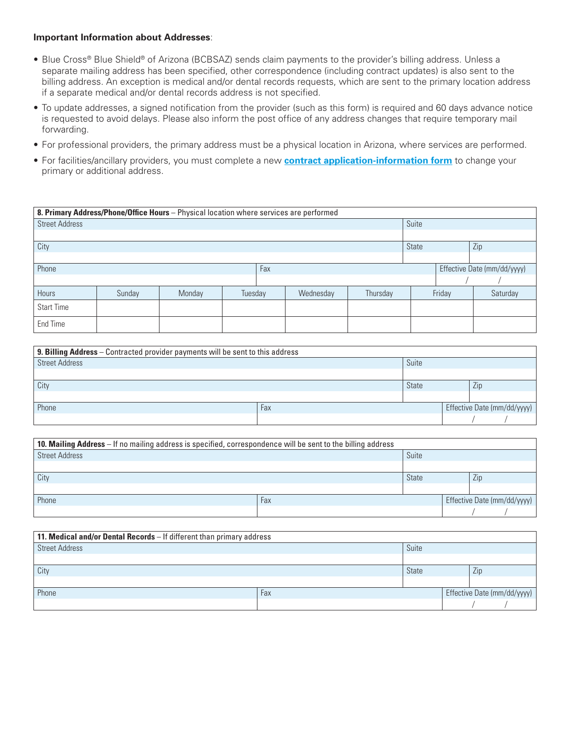#### **Important Information about Addresses**:

- Blue Cross® Blue Shield® of Arizona (BCBSAZ) sends claim payments to the provider's billing address. Unless a separate mailing address has been specified, other correspondence (including contract updates) is also sent to the billing address. An exception is medical and/or dental records requests, which are sent to the primary location address if a separate medical and/or dental records address is not specified.
- To update addresses, a signed notification from the provider (such as this form) is required and 60 days advance notice is requested to avoid delays. Please also inform the post office of any address changes that require temporary mail forwarding.
- For professional providers, the primary address must be a physical location in Arizona, where services are performed.
- For facilities/ancillary providers, you must complete a new **[contract application-information form](https://azbluedentalprovider.dominionnational.com/Provider/Login/applicationforms)** to change your primary or additional address.

| 8. Primary Address/Phone/Office Hours - Physical location where services are performed |        |        |         |  |           |          |                             |        |          |
|----------------------------------------------------------------------------------------|--------|--------|---------|--|-----------|----------|-----------------------------|--------|----------|
| <b>Street Address</b>                                                                  |        |        |         |  |           |          | Suite                       |        |          |
|                                                                                        |        |        |         |  |           |          |                             |        |          |
| City                                                                                   |        |        |         |  |           |          | State                       |        | Zip      |
|                                                                                        |        |        |         |  |           |          |                             |        |          |
| Phone<br>Fax                                                                           |        |        |         |  |           |          | Effective Date (mm/dd/yyyy) |        |          |
|                                                                                        |        |        |         |  |           |          |                             |        |          |
| Hours                                                                                  | Sunday | Monday | Tuesday |  | Wednesday | Thursday |                             | Friday | Saturday |
| <b>Start Time</b>                                                                      |        |        |         |  |           |          |                             |        |          |
| End Time                                                                               |        |        |         |  |           |          |                             |        |          |

| 9. Billing Address - Contracted provider payments will be sent to this address |       |              |                             |  |  |  |  |  |
|--------------------------------------------------------------------------------|-------|--------------|-----------------------------|--|--|--|--|--|
| <b>Street Address</b>                                                          | Suite |              |                             |  |  |  |  |  |
|                                                                                |       |              |                             |  |  |  |  |  |
| City                                                                           |       | <b>State</b> | Zip                         |  |  |  |  |  |
|                                                                                |       |              |                             |  |  |  |  |  |
| Phone                                                                          | Fax   |              | Effective Date (mm/dd/yyyy) |  |  |  |  |  |
|                                                                                |       |              |                             |  |  |  |  |  |

| 10. Mailing Address - If no mailing address is specified, correspondence will be sent to the billing address |     |              |  |     |                             |  |  |  |
|--------------------------------------------------------------------------------------------------------------|-----|--------------|--|-----|-----------------------------|--|--|--|
| <b>Street Address</b>                                                                                        |     | Suite        |  |     |                             |  |  |  |
|                                                                                                              |     |              |  |     |                             |  |  |  |
| City                                                                                                         |     | <b>State</b> |  | Zip |                             |  |  |  |
|                                                                                                              |     |              |  |     |                             |  |  |  |
| Phone                                                                                                        | Fax |              |  |     | Effective Date (mm/dd/yyyy) |  |  |  |
|                                                                                                              |     |              |  |     |                             |  |  |  |

| <b>11. Medical and/or Dental Records</b> $-$ If different than primary address |              |  |     |                             |  |  |  |  |
|--------------------------------------------------------------------------------|--------------|--|-----|-----------------------------|--|--|--|--|
| Street Address                                                                 | Suite        |  |     |                             |  |  |  |  |
|                                                                                |              |  |     |                             |  |  |  |  |
| City                                                                           | <b>State</b> |  | Zip |                             |  |  |  |  |
|                                                                                |              |  |     |                             |  |  |  |  |
| Phone                                                                          | Fax          |  |     | Effective Date (mm/dd/yyyy) |  |  |  |  |
|                                                                                |              |  |     |                             |  |  |  |  |